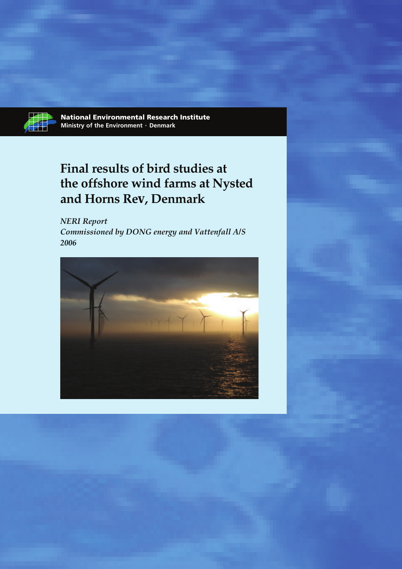

## **Final results of bird studies at the offshore wind farms at Nysted and Horns Rev, Denmark**

*NERI Report Commissioned by DONG energy and Vattenfall A/S 2006*

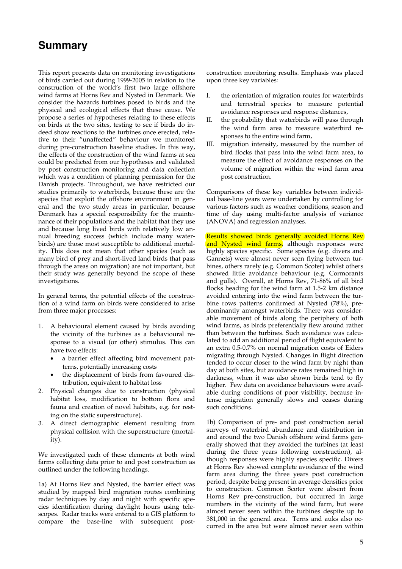## **Summary**

This report presents data on monitoring investigations of birds carried out during 1999-2005 in relation to the construction of the world's first two large offshore wind farms at Horns Rev and Nysted in Denmark. We consider the hazards turbines posed to birds and the physical and ecological effects that these cause. We propose a series of hypotheses relating to these effects on birds at the two sites, testing to see if birds do indeed show reactions to the turbines once erected, relative to their "unaffected" behaviour we monitored during pre-construction baseline studies. In this way, the effects of the construction of the wind farms at sea could be predicted from our hypotheses and validated by post construction monitoring and data collection which was a condition of planning permission for the Danish projects. Throughout, we have restricted our studies primarily to waterbirds, because these are the species that exploit the offshore environment in general and the two study areas in particular, because Denmark has a special responsibility for the maintenance of their populations and the habitat that they use and because long lived birds with relatively low annual breeding success (which include many waterbirds) are those most susceptible to additional mortality. This does not mean that other species (such as many bird of prey and short-lived land birds that pass through the areas on migration) are not important, but their study was generally beyond the scope of these investigations.

In general terms, the potential effects of the construction of a wind farm on birds were considered to arise from three major processes:

- 1. A behavioural element caused by birds avoiding the vicinity of the turbines as a behavioural response to a visual (or other) stimulus. This can have two effects:
	- a barrier effect affecting bird movement patterns, potentially increasing costs
	- the displacement of birds from favoured distribution, equivalent to habitat loss
- 2. Physical changes due to construction (physical habitat loss, modification to bottom flora and fauna and creation of novel habitats, e.g. for resting on the static superstructure).
- 3. A direct demographic element resulting from physical collision with the superstructure (mortality).

We investigated each of these elements at both wind farms collecting data prior to and post construction as outlined under the following headings.

1a) At Horns Rev and Nysted, the barrier effect was studied by mapped bird migration routes combining radar techniques by day and night with specific species identification during daylight hours using telescopes. Radar tracks were entered to a GIS platform to compare the base-line with subsequent postconstruction monitoring results. Emphasis was placed upon three key variables:

- I. the orientation of migration routes for waterbirds and terrestrial species to measure potential avoidance responses and response distances,
- II. the probability that waterbirds will pass through the wind farm area to measure waterbird responses to the entire wind farm,
- III. migration intensity, measured by the number of bird flocks that pass into the wind farm area, to measure the effect of avoidance responses on the volume of migration within the wind farm area post construction.

Comparisons of these key variables between individual base-line years were undertaken by controlling for various factors such as weather conditions, season and time of day using multi-factor analysis of variance (ANOVA) and regression analyses.

Results showed birds generally avoided Horns Rev and Nysted wind farms, although responses were highly species specific. Some species (e.g. divers and Gannets) were almost never seen flying between turbines, others rarely (e.g. Common Scoter) whilst others showed little avoidance behaviour (e.g. Cormorants and gulls). Overall, at Horns Rev, 71-86% of all bird flocks heading for the wind farm at 1.5-2 km distance avoided entering into the wind farm between the turbine rows patterns confirmed at Nysted (78%), predominantly amongst waterbirds. There was considerable movement of birds along the periphery of both wind farms, as birds preferentially flew around rather than between the turbines. Such avoidance was calculated to add an additional period of flight equivalent to an extra 0.5-0.7% on normal migration costs of Eiders migrating through Nysted. Changes in flight direction tended to occur closer to the wind farm by night than day at both sites, but avoidance rates remained high in darkness, when it was also shown birds tend to fly higher. Few data on avoidance behaviours were available during conditions of poor visibility, because intense migration generally slows and ceases during such conditions.

1b) Comparison of pre- and post construction aerial surveys of waterbird abundance and distribution in and around the two Danish offshore wind farms generally showed that they avoided the turbines (at least during the three years following construction), although responses were highly species specific. Divers at Horns Rev showed complete avoidance of the wind farm area during the three years post construction period, despite being present in average densities prior to construction. Common Scoter were absent from Horns Rev pre-construction, but occurred in large numbers in the vicinity of the wind farm, but were almost never seen within the turbines despite up to 381,000 in the general area. Terns and auks also occurred in the area but were almost never seen within